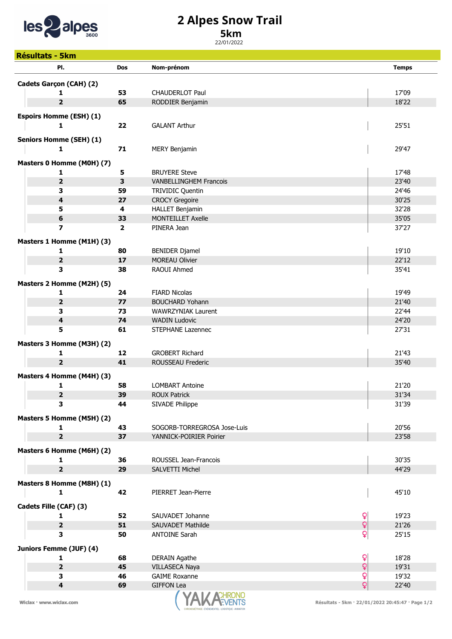

## 2 Alpes Snow Trail

## 5km

22/01/2022

| <b>Résultats - 5km</b>         |                |                               |                                  |
|--------------------------------|----------------|-------------------------------|----------------------------------|
| PI.                            | <b>Dos</b>     | Nom-prénom                    | <b>Temps</b>                     |
| Cadets Garçon (CAH) (2)        |                |                               |                                  |
| 1                              | 53             | <b>CHAUDERLOT Paul</b>        | 17'09                            |
| 2                              | 65             | RODDIER Benjamin              | 18'22                            |
|                                |                |                               |                                  |
| <b>Espoirs Homme (ESH) (1)</b> |                |                               |                                  |
| 1                              | 22             | <b>GALANT Arthur</b>          | 25'51                            |
| <b>Seniors Homme (SEH) (1)</b> |                |                               |                                  |
| 1                              | 71             | <b>MERY Benjamin</b>          | 29'47                            |
| Masters 0 Homme (M0H) (7)      |                |                               |                                  |
| 1                              | 5              | <b>BRUYERE Steve</b>          | 17'48                            |
| 2                              | 3              | <b>VANBELLINGHEM Francois</b> | 23'40                            |
| 3                              | 59             | TRIVIDIC Quentin              | 24'46                            |
| 4                              | 27             | <b>CROCY Gregoire</b>         | 30'25                            |
| 5                              | 4              | <b>HALLET Benjamin</b>        | 32'28                            |
| 6                              | 33             | <b>MONTEILLET Axelle</b>      | 35'05                            |
| $\overline{\mathbf{z}}$        | $\overline{2}$ | PINERA Jean                   | 37'27                            |
|                                |                |                               |                                  |
| Masters 1 Homme (M1H) (3)      |                |                               |                                  |
| 1                              | 80             | <b>BENIDER Djamel</b>         | 19'10                            |
| $\overline{2}$                 | 17<br>38       | <b>MOREAU Olivier</b>         | 22'12                            |
| з                              |                | RAOUI Ahmed                   | 35'41                            |
| Masters 2 Homme (M2H) (5)      |                |                               |                                  |
| 1                              | 24             | <b>FIARD Nicolas</b>          | 19'49                            |
| 2                              | 77             | <b>BOUCHARD Yohann</b>        | 21'40                            |
| 3                              | 73             | WAWRZYNIAK Laurent            | 22'44                            |
| 4                              | 74             | <b>WADIN Ludovic</b>          | 24'20                            |
| 5                              | 61             | STEPHANE Lazennec             | 27'31                            |
| Masters 3 Homme (M3H) (2)      |                |                               |                                  |
| 1                              | 12             | <b>GROBERT Richard</b>        | 21'43                            |
| $\overline{\mathbf{2}}$        | 41             | ROUSSEAU Frederic             | 35'40                            |
| Masters 4 Homme (M4H) (3)      |                |                               |                                  |
| 1                              | 58             | <b>LOMBART Antoine</b>        | 21'20                            |
|                                |                | <b>ROUX Patrick</b>           | 31'34                            |
| 2<br>3                         | 39<br>44       | SIVADE Philippe               | 31'39                            |
|                                |                |                               |                                  |
| Masters 5 Homme (M5H) (2)      |                |                               |                                  |
| 1                              | 43             | SOGORB-TORREGROSA Jose-Luis   | 20'56                            |
| 2                              | 37             | YANNICK-POIRIER Poirier       | 23'58                            |
| Masters 6 Homme (M6H) (2)      |                |                               |                                  |
| 1                              | 36             | ROUSSEL Jean-Francois         | 30'35                            |
| $\overline{\mathbf{2}}$        | 29             | SALVETTI Michel               | 44'29                            |
| Masters 8 Homme (M8H) (1)      |                |                               |                                  |
| 1                              | 42             | PIERRET Jean-Pierre           | 45'10                            |
|                                |                |                               |                                  |
| Cadets Fille (CAF) (3)         |                |                               |                                  |
| 1                              | 52             | SAUVADET Johanne              | $\mathsf{Q}$<br>19'23            |
| $\mathbf{2}$                   | 51             | SAUVADET Mathilde             | $\mathbf{Q}$<br>21'26            |
| 3                              | 50             | <b>ANTOINE Sarah</b>          | $\mathbf{Q}$<br>25'15            |
| Juniors Femme (JUF) (4)        |                |                               |                                  |
| 1                              | 68             | <b>DERAIN Agathe</b>          | $\mathsf{Q}$<br>18'28            |
| $\overline{\mathbf{2}}$        | 45             | VILLASECA Naya                | $\overline{Q}$<br>19'31          |
| 3                              | 46             | <b>GAIME Roxanne</b>          | $\overline{\mathbf{Q}}$<br>19'32 |
| $\overline{\mathbf{4}}$        | 69             | <b>GIFFON Lea</b>             | Q<br>22'40                       |
|                                |                | <b>A A AOUDOM</b>             |                                  |